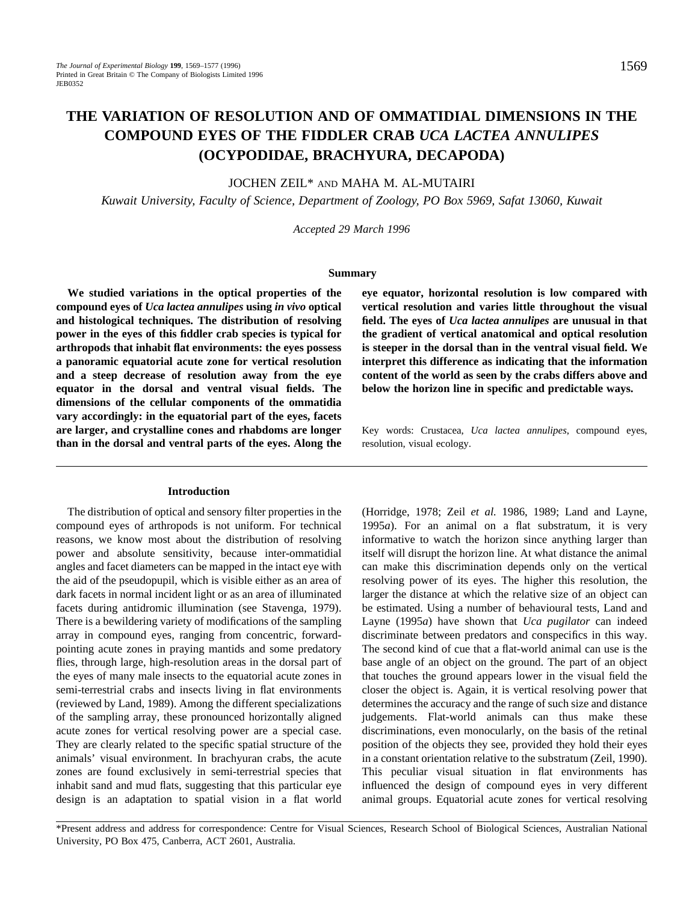# **THE VARIATION OF RESOLUTION AND OF OMMATIDIAL DIMENSIONS IN THE COMPOUND EYES OF THE FIDDLER CRAB** *UCA LACTEA ANNULIPES* **(OCYPODIDAE, BRACHYURA, DECAPODA)**

JOCHEN ZEIL\* AND MAHA M. AL-MUTAIRI

*Kuwait University, Faculty of Science, Department of Zoology, PO Box 5969, Safat 13060, Kuwait*

*Accepted 29 March 1996*

#### **Summary**

**We studied variations in the optical properties of the compound eyes of** *Uca lactea annulipes* **using** *in vivo* **optical and histological techniques. The distribution of resolving power in the eyes of this fiddler crab species is typical for arthropods that inhabit flat environments: the eyes possess a panoramic equatorial acute zone for vertical resolution and a steep decrease of resolution away from the eye equator in the dorsal and ventral visual fields. The dimensions of the cellular components of the ommatidia vary accordingly: in the equatorial part of the eyes, facets are larger, and crystalline cones and rhabdoms are longer than in the dorsal and ventral parts of the eyes. Along the**

## **Introduction**

The distribution of optical and sensory filter properties in the compound eyes of arthropods is not uniform. For technical reasons, we know most about the distribution of resolving power and absolute sensitivity, because inter-ommatidial angles and facet diameters can be mapped in the intact eye with the aid of the pseudopupil, which is visible either as an area of dark facets in normal incident light or as an area of illuminated facets during antidromic illumination (see Stavenga, 1979). There is a bewildering variety of modifications of the sampling array in compound eyes, ranging from concentric, forwardpointing acute zones in praying mantids and some predatory flies, through large, high-resolution areas in the dorsal part of the eyes of many male insects to the equatorial acute zones in semi-terrestrial crabs and insects living in flat environments (reviewed by Land, 1989). Among the different specializations of the sampling array, these pronounced horizontally aligned acute zones for vertical resolving power are a special case. They are clearly related to the specific spatial structure of the animals' visual environment. In brachyuran crabs, the acute zones are found exclusively in semi-terrestrial species that inhabit sand and mud flats, suggesting that this particular eye design is an adaptation to spatial vision in a flat world

**eye equator, horizontal resolution is low compared with vertical resolution and varies little throughout the visual field. The eyes of** *Uca lactea annulipes* **are unusual in that the gradient of vertical anatomical and optical resolution is steeper in the dorsal than in the ventral visual field. We interpret this difference as indicating that the information content of the world as seen by the crabs differs above and below the horizon line in specific and predictable ways.**

Key words: Crustacea, *Uca lactea annulipes*, compound eyes, resolution, visual ecology.

(Horridge, 1978; Zeil *et al.* 1986, 1989; Land and Layne, 1995*a*). For an animal on a flat substratum, it is very informative to watch the horizon since anything larger than itself will disrupt the horizon line. At what distance the animal can make this discrimination depends only on the vertical resolving power of its eyes. The higher this resolution, the larger the distance at which the relative size of an object can be estimated. Using a number of behavioural tests, Land and Layne (1995*a*) have shown that *Uca pugilator* can indeed discriminate between predators and conspecifics in this way. The second kind of cue that a flat-world animal can use is the base angle of an object on the ground. The part of an object that touches the ground appears lower in the visual field the closer the object is. Again, it is vertical resolving power that determines the accuracy and the range of such size and distance judgements. Flat-world animals can thus make these discriminations, even monocularly, on the basis of the retinal position of the objects they see, provided they hold their eyes in a constant orientation relative to the substratum (Zeil, 1990). This peculiar visual situation in flat environments has influenced the design of compound eyes in very different animal groups. Equatorial acute zones for vertical resolving

\*Present address and address for correspondence: Centre for Visual Sciences, Research School of Biological Sciences, Australian National University, PO Box 475, Canberra, ACT 2601, Australia.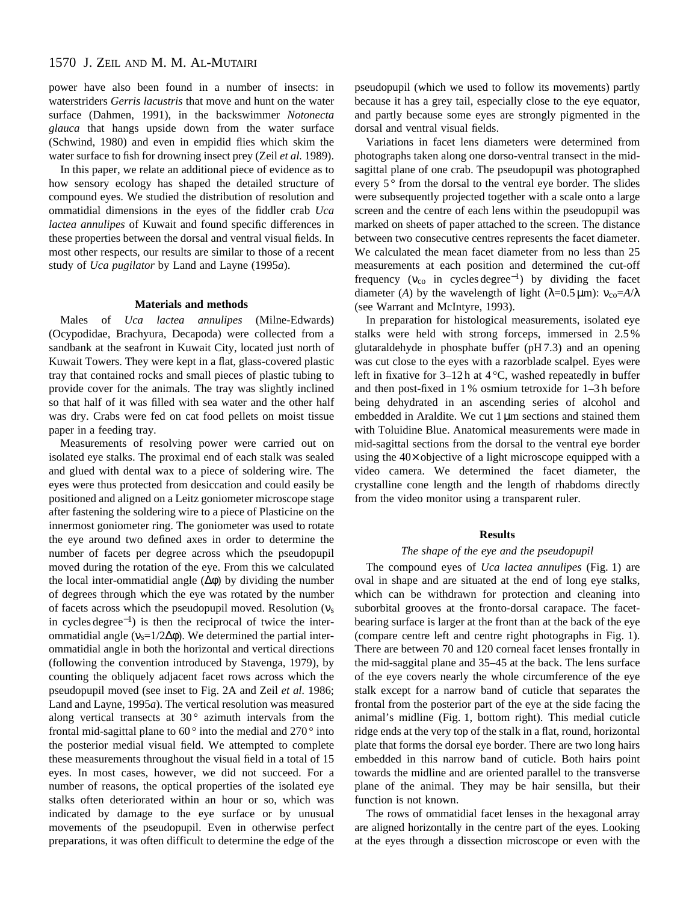# 1570 J. ZEIL AND M. M. AL-MUTAIRI

power have also been found in a number of insects: in waterstriders *Gerris lacustris* that move and hunt on the water surface (Dahmen, 1991), in the backswimmer *Notonecta glauca* that hangs upside down from the water surface (Schwind, 1980) and even in empidid flies which skim the water surface to fish for drowning insect prey (Zeil *et al.* 1989).

In this paper, we relate an additional piece of evidence as to how sensory ecology has shaped the detailed structure of compound eyes. We studied the distribution of resolution and ommatidial dimensions in the eyes of the fiddler crab *Uca lactea annulipes* of Kuwait and found specific differences in these properties between the dorsal and ventral visual fields. In most other respects, our results are similar to those of a recent study of *Uca pugilator* by Land and Layne (1995*a*).

#### **Materials and methods**

Males of *Uca lactea annulipes* (Milne-Edwards) (Ocypodidae, Brachyura, Decapoda) were collected from a sandbank at the seafront in Kuwait City, located just north of Kuwait Towers. They were kept in a flat, glass-covered plastic tray that contained rocks and small pieces of plastic tubing to provide cover for the animals. The tray was slightly inclined so that half of it was filled with sea water and the other half was dry. Crabs were fed on cat food pellets on moist tissue paper in a feeding tray.

Measurements of resolving power were carried out on isolated eye stalks. The proximal end of each stalk was sealed and glued with dental wax to a piece of soldering wire. The eyes were thus protected from desiccation and could easily be positioned and aligned on a Leitz goniometer microscope stage after fastening the soldering wire to a piece of Plasticine on the innermost goniometer ring. The goniometer was used to rotate the eye around two defined axes in order to determine the number of facets per degree across which the pseudopupil moved during the rotation of the eye. From this we calculated the local inter-ommatidial angle  $(\Delta \phi)$  by dividing the number of degrees through which the eye was rotated by the number of facets across which the pseudopupil moved. Resolution (νs in cycles degree<sup>−</sup>1) is then the reciprocal of twice the interommatidial angle ( $v_s=1/2\Delta\phi$ ). We determined the partial interommatidial angle in both the horizontal and vertical directions (following the convention introduced by Stavenga, 1979), by counting the obliquely adjacent facet rows across which the pseudopupil moved (see inset to Fig. 2A and Zeil *et al.* 1986; Land and Layne, 1995*a*). The vertical resolution was measured along vertical transects at  $30^{\circ}$  azimuth intervals from the frontal mid-sagittal plane to  $60^{\circ}$  into the medial and  $270^{\circ}$  into the posterior medial visual field. We attempted to complete these measurements throughout the visual field in a total of 15 eyes. In most cases, however, we did not succeed. For a number of reasons, the optical properties of the isolated eye stalks often deteriorated within an hour or so, which was indicated by damage to the eye surface or by unusual movements of the pseudopupil. Even in otherwise perfect preparations, it was often difficult to determine the edge of the pseudopupil (which we used to follow its movements) partly because it has a grey tail, especially close to the eye equator, and partly because some eyes are strongly pigmented in the dorsal and ventral visual fields.

Variations in facet lens diameters were determined from photographs taken along one dorso-ventral transect in the midsagittal plane of one crab. The pseudopupil was photographed every 5<sup>°</sup> from the dorsal to the ventral eye border. The slides were subsequently projected together with a scale onto a large screen and the centre of each lens within the pseudopupil was marked on sheets of paper attached to the screen. The distance between two consecutive centres represents the facet diameter. We calculated the mean facet diameter from no less than 25 measurements at each position and determined the cut-off frequency ( $v_{\rm co}$  in cycles degree<sup>-1</sup>) by dividing the facet diameter (*A*) by the wavelength of light ( $\lambda$ =0.5 µm):  $v_{\text{co}}=A/\lambda$ (see Warrant and McIntyre, 1993).

In preparation for histological measurements, isolated eye stalks were held with strong forceps, immersed in 2.5 % glutaraldehyde in phosphate buffer (pH 7.3) and an opening was cut close to the eyes with a razorblade scalpel. Eyes were left in fixative for  $3-12h$  at  $4^{\circ}C$ , washed repeatedly in buffer and then post-fixed in 1 % osmium tetroxide for 1–3 h before being dehydrated in an ascending series of alcohol and embedded in Araldite. We cut 1  $\mu$ m sections and stained them with Toluidine Blue. Anatomical measurements were made in mid-sagittal sections from the dorsal to the ventral eye border using the 40× objective of a light microscope equipped with a video camera. We determined the facet diameter, the crystalline cone length and the length of rhabdoms directly from the video monitor using a transparent ruler.

#### **Results**

## *The shape of the eye and the pseudopupil*

The compound eyes of *Uca lactea annulipes* (Fig. 1) are oval in shape and are situated at the end of long eye stalks, which can be withdrawn for protection and cleaning into suborbital grooves at the fronto-dorsal carapace. The facetbearing surface is larger at the front than at the back of the eye (compare centre left and centre right photographs in Fig. 1). There are between 70 and 120 corneal facet lenses frontally in the mid-saggital plane and 35–45 at the back. The lens surface of the eye covers nearly the whole circumference of the eye stalk except for a narrow band of cuticle that separates the frontal from the posterior part of the eye at the side facing the animal's midline (Fig. 1, bottom right). This medial cuticle ridge ends at the very top of the stalk in a flat, round, horizontal plate that forms the dorsal eye border. There are two long hairs embedded in this narrow band of cuticle. Both hairs point towards the midline and are oriented parallel to the transverse plane of the animal. They may be hair sensilla, but their function is not known.

The rows of ommatidial facet lenses in the hexagonal array are aligned horizontally in the centre part of the eyes. Looking at the eyes through a dissection microscope or even with the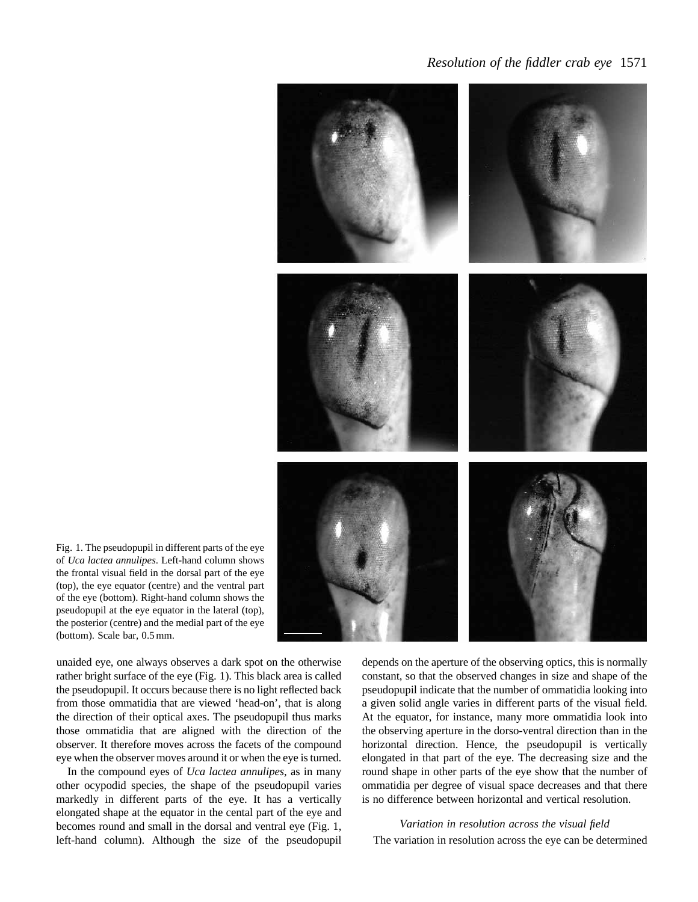## *Resolution of the fiddler crab eye* 1571



Fig. 1. The pseudopupil in different parts of the eye of *Uca lactea annulipes*. Left-hand column shows the frontal visual field in the dorsal part of the eye (top), the eye equator (centre) and the ventral part of the eye (bottom). Right-hand column shows the pseudopupil at the eye equator in the lateral (top), the posterior (centre) and the medial part of the eye (bottom). Scale bar, 0.5 mm.

unaided eye, one always observes a dark spot on the otherwise rather bright surface of the eye (Fig. 1). This black area is called the pseudopupil. It occurs because there is no light reflected back from those ommatidia that are viewed 'head-on', that is along the direction of their optical axes. The pseudopupil thus marks those ommatidia that are aligned with the direction of the observer. It therefore moves across the facets of the compound eye when the observer moves around it or when the eye is turned.

In the compound eyes of *Uca lactea annulipes*, as in many other ocypodid species, the shape of the pseudopupil varies markedly in different parts of the eye. It has a vertically elongated shape at the equator in the cental part of the eye and becomes round and small in the dorsal and ventral eye (Fig. 1, left-hand column). Although the size of the pseudopupil depends on the aperture of the observing optics, this is normally constant, so that the observed changes in size and shape of the pseudopupil indicate that the number of ommatidia looking into a given solid angle varies in different parts of the visual field. At the equator, for instance, many more ommatidia look into the observing aperture in the dorso-ventral direction than in the horizontal direction. Hence, the pseudopupil is vertically elongated in that part of the eye. The decreasing size and the round shape in other parts of the eye show that the number of ommatidia per degree of visual space decreases and that there is no difference between horizontal and vertical resolution.

*Variation in resolution across the visual field* The variation in resolution across the eye can be determined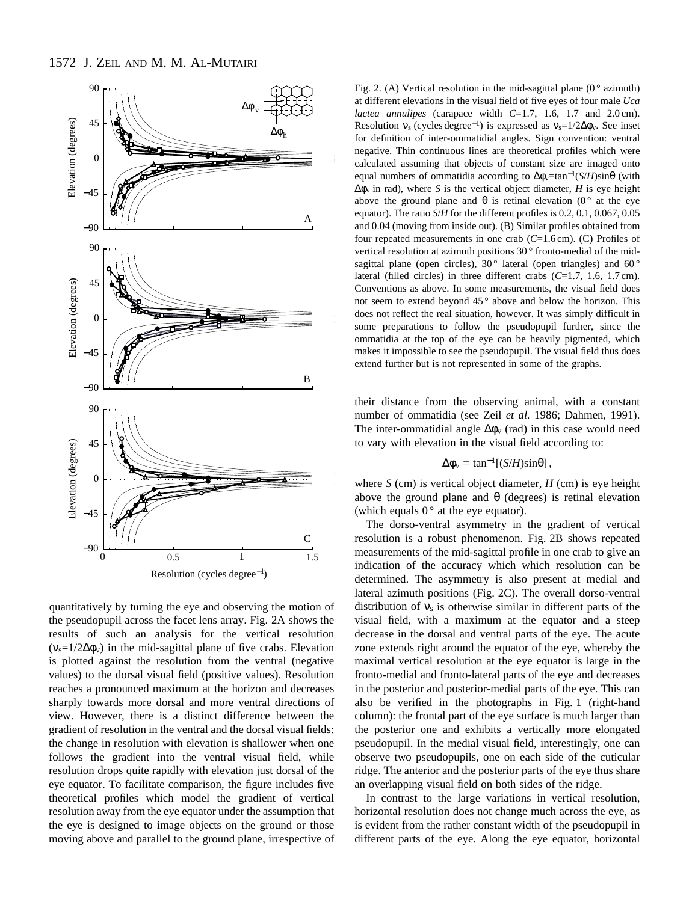

quantitatively by turning the eye and observing the motion of the pseudopupil across the facet lens array. Fig. 2A shows the results of such an analysis for the vertical resolution  $(v_s=1/2\Delta\phi_v)$  in the mid-sagittal plane of five crabs. Elevation is plotted against the resolution from the ventral (negative values) to the dorsal visual field (positive values). Resolution reaches a pronounced maximum at the horizon and decreases sharply towards more dorsal and more ventral directions of view. However, there is a distinct difference between the gradient of resolution in the ventral and the dorsal visual fields: the change in resolution with elevation is shallower when one follows the gradient into the ventral visual field, while resolution drops quite rapidly with elevation just dorsal of the eye equator. To facilitate comparison, the figure includes five theoretical profiles which model the gradient of vertical resolution away from the eye equator under the assumption that the eye is designed to image objects on the ground or those moving above and parallel to the ground plane, irrespective of Fig. 2. (A) Vertical resolution in the mid-sagittal plane ( $0^{\circ}$  azimuth) at different elevations in the visual field of five eyes of four male *Uca lactea annulipes* (carapace width *C*=1.7, 1.6, 1.7 and 2.0 cm). Resolution  $v_s$  (cycles degree<sup>-1</sup>) is expressed as  $v_s=1/2\Delta\phi_v$ . See inset for definition of inter-ommatidial angles. Sign convention: ventral negative. Thin continuous lines are theoretical profiles which were calculated assuming that objects of constant size are imaged onto equal numbers of ommatidia according to ∆φv=tan<sup>−</sup>1(*S*/*H*)sinθ (with  $Δφ<sub>v</sub>$  in rad), where *S* is the vertical object diameter, *H* is eye height above the ground plane and  $\theta$  is retinal elevation (0° at the eye equator). The ratio *S*/*H* for the different profiles is 0.2, 0.1, 0.067, 0.05 and 0.04 (moving from inside out). (B) Similar profiles obtained from four repeated measurements in one crab (*C*=1.6 cm). (C) Profiles of vertical resolution at azimuth positions 30 ° fronto-medial of the midsagittal plane (open circles),  $30^{\circ}$  lateral (open triangles) and  $60^{\circ}$ lateral (filled circles) in three different crabs (*C*=1.7, 1.6, 1.7 cm). Conventions as above. In some measurements, the visual field does not seem to extend beyond 45° above and below the horizon. This does not reflect the real situation, however. It was simply difficult in some preparations to follow the pseudopupil further, since the ommatidia at the top of the eye can be heavily pigmented, which makes it impossible to see the pseudopupil. The visual field thus does extend further but is not represented in some of the graphs.

their distance from the observing animal, with a constant number of ommatidia (see Zeil *et al.* 1986; Dahmen, 1991). The inter-ommatidial angle  $\Delta\phi_{\rm v}$  (rad) in this case would need to vary with elevation in the visual field according to:

$$
\Delta \phi_{\rm v} = \tan^{-1}[(S/H)\sin\theta],
$$

where  $S$  (cm) is vertical object diameter,  $H$  (cm) is eye height above the ground plane and  $\theta$  (degrees) is retinal elevation (which equals  $0^{\circ}$  at the eye equator).

The dorso-ventral asymmetry in the gradient of vertical resolution is a robust phenomenon. Fig. 2B shows repeated measurements of the mid-sagittal profile in one crab to give an indication of the accuracy which which resolution can be determined. The asymmetry is also present at medial and lateral azimuth positions (Fig. 2C). The overall dorso-ventral distribution of  $v_s$  is otherwise similar in different parts of the visual field, with a maximum at the equator and a steep decrease in the dorsal and ventral parts of the eye. The acute zone extends right around the equator of the eye, whereby the maximal vertical resolution at the eye equator is large in the fronto-medial and fronto-lateral parts of the eye and decreases in the posterior and posterior-medial parts of the eye. This can also be verified in the photographs in Fig. 1 (right-hand column): the frontal part of the eye surface is much larger than the posterior one and exhibits a vertically more elongated pseudopupil. In the medial visual field, interestingly, one can observe two pseudopupils, one on each side of the cuticular ridge. The anterior and the posterior parts of the eye thus share an overlapping visual field on both sides of the ridge.

In contrast to the large variations in vertical resolution, horizontal resolution does not change much across the eye, as is evident from the rather constant width of the pseudopupil in different parts of the eye. Along the eye equator, horizontal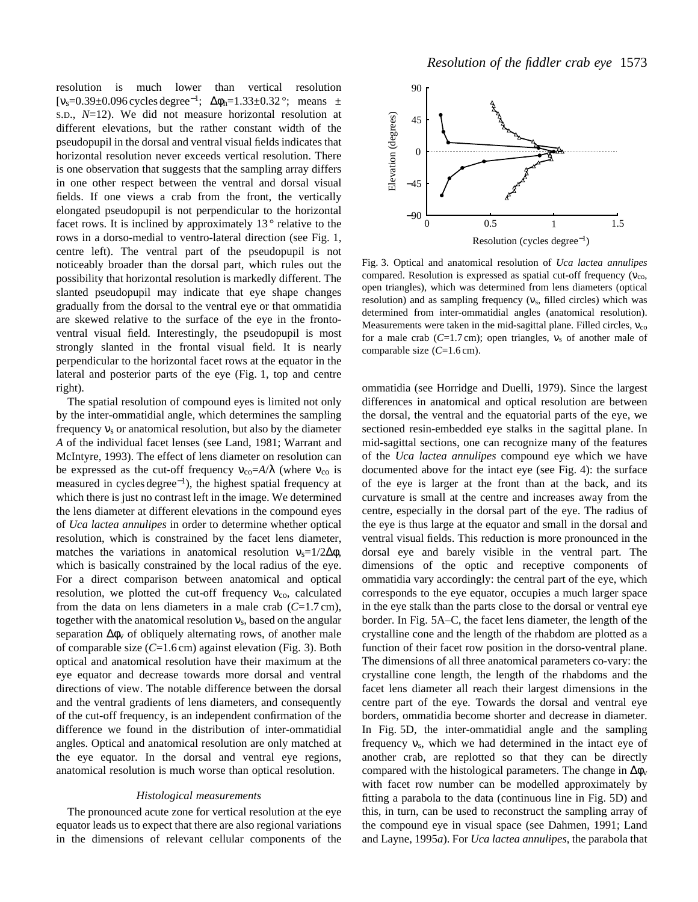resolution is much lower than vertical resolution [ $v_s$ =0.39±0.096 cycles degree<sup>-1</sup>; Δφ<sub>h</sub>=1.33±0.32°; means  $\pm$ S.D., *N*=12). We did not measure horizontal resolution at different elevations, but the rather constant width of the pseudopupil in the dorsal and ventral visual fields indicates that horizontal resolution never exceeds vertical resolution. There is one observation that suggests that the sampling array differs in one other respect between the ventral and dorsal visual fields. If one views a crab from the front, the vertically elongated pseudopupil is not perpendicular to the horizontal facet rows. It is inclined by approximately  $13°$  relative to the rows in a dorso-medial to ventro-lateral direction (see Fig. 1, centre left). The ventral part of the pseudopupil is not noticeably broader than the dorsal part, which rules out the possibility that horizontal resolution is markedly different. The slanted pseudopupil may indicate that eye shape changes gradually from the dorsal to the ventral eye or that ommatidia are skewed relative to the surface of the eye in the frontoventral visual field. Interestingly, the pseudopupil is most strongly slanted in the frontal visual field. It is nearly perpendicular to the horizontal facet rows at the equator in the lateral and posterior parts of the eye (Fig. 1, top and centre right).

The spatial resolution of compound eyes is limited not only by the inter-ommatidial angle, which determines the sampling frequency  $v_s$  or anatomical resolution, but also by the diameter *A* of the individual facet lenses (see Land, 1981; Warrant and McIntyre, 1993). The effect of lens diameter on resolution can be expressed as the cut-off frequency  $v_{\rm co} = A/\lambda$  (where  $v_{\rm co}$  is measured in cycles degree<sup>−</sup>1), the highest spatial frequency at which there is just no contrast left in the image. We determined the lens diameter at different elevations in the compound eyes of *Uca lactea annulipes* in order to determine whether optical resolution, which is constrained by the facet lens diameter, matches the variations in anatomical resolution  $v_s=1/2\Delta\phi$ , which is basically constrained by the local radius of the eye. For a direct comparison between anatomical and optical resolution, we plotted the cut-off frequency  $v_{\rm co}$ , calculated from the data on lens diameters in a male crab (*C*=1.7 cm), together with the anatomical resolution  $v_s$ , based on the angular separation  $\Delta\phi$ <sub>v</sub> of obliquely alternating rows, of another male of comparable size (*C*=1.6 cm) against elevation (Fig. 3). Both optical and anatomical resolution have their maximum at the eye equator and decrease towards more dorsal and ventral directions of view. The notable difference between the dorsal and the ventral gradients of lens diameters, and consequently of the cut-off frequency, is an independent confirmation of the difference we found in the distribution of inter-ommatidial angles. Optical and anatomical resolution are only matched at the eye equator. In the dorsal and ventral eye regions, anatomical resolution is much worse than optical resolution.

#### *Histological measurements*

The pronounced acute zone for vertical resolution at the eye equator leads us to expect that there are also regional variations in the dimensions of relevant cellular components of the



Fig. 3. Optical and anatomical resolution of *Uca lactea annulipes* compared. Resolution is expressed as spatial cut-off frequency ( $v_{\text{co}}$ , open triangles), which was determined from lens diameters (optical resolution) and as sampling frequency  $(v_s, \text{ filled circles})$  which was determined from inter-ommatidial angles (anatomical resolution). Measurements were taken in the mid-sagittal plane. Filled circles, ν<sub>co</sub> for a male crab (*C*=1.7 cm); open triangles, νs of another male of comparable size (*C*=1.6 cm).

ommatidia (see Horridge and Duelli, 1979). Since the largest differences in anatomical and optical resolution are between the dorsal, the ventral and the equatorial parts of the eye, we sectioned resin-embedded eye stalks in the sagittal plane. In mid-sagittal sections, one can recognize many of the features of the *Uca lactea annulipes* compound eye which we have documented above for the intact eye (see Fig. 4): the surface of the eye is larger at the front than at the back, and its curvature is small at the centre and increases away from the centre, especially in the dorsal part of the eye. The radius of the eye is thus large at the equator and small in the dorsal and ventral visual fields. This reduction is more pronounced in the dorsal eye and barely visible in the ventral part. The dimensions of the optic and receptive components of ommatidia vary accordingly: the central part of the eye, which corresponds to the eye equator, occupies a much larger space in the eye stalk than the parts close to the dorsal or ventral eye border. In Fig. 5A–C, the facet lens diameter, the length of the crystalline cone and the length of the rhabdom are plotted as a function of their facet row position in the dorso-ventral plane. The dimensions of all three anatomical parameters co-vary: the crystalline cone length, the length of the rhabdoms and the facet lens diameter all reach their largest dimensions in the centre part of the eye. Towards the dorsal and ventral eye borders, ommatidia become shorter and decrease in diameter. In Fig. 5D, the inter-ommatidial angle and the sampling frequency  $v_s$ , which we had determined in the intact eye of another crab, are replotted so that they can be directly compared with the histological parameters. The change in  $\Delta \phi_v$ with facet row number can be modelled approximately by fitting a parabola to the data (continuous line in Fig. 5D) and this, in turn, can be used to reconstruct the sampling array of the compound eye in visual space (see Dahmen, 1991; Land and Layne, 1995*a*). For *Uca lactea annulipes*, the parabola that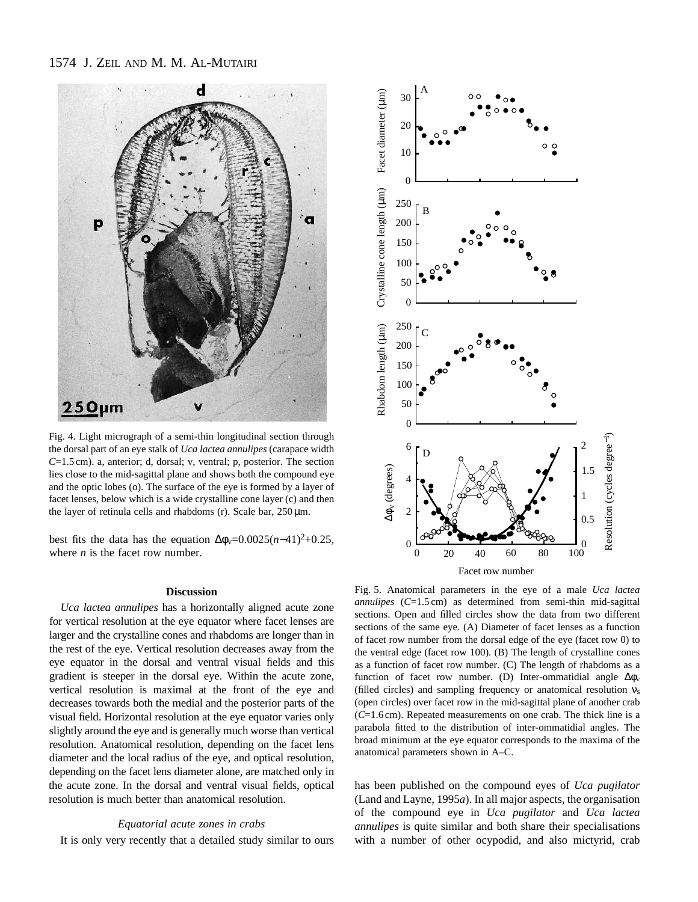# 1574 J. ZEIL AND M. M. AL-MUTAIRI



Fig. 4. Light micrograph of a semi-thin longitudinal section through the dorsal part of an eye stalk of *Uca lactea annulipes* (carapace width *C*=1.5 cm). a, anterior; d, dorsal; v, ventral; p, posterior. The section lies close to the mid-sagittal plane and shows both the compound eye and the optic lobes (o). The surface of the eye is formed by a layer of facet lenses, below which is a wide crystalline cone layer (c) and then the layer of retinula cells and rhabdoms (r). Scale bar,  $250 \,\mu m$ .

best fits the data has the equation  $\Delta\phi_v=0.0025(n-41)^2+0.25$ , where *n* is the facet row number.

#### **Discussion**

*Uca lactea annulipes* has a horizontally aligned acute zone for vertical resolution at the eye equator where facet lenses are larger and the crystalline cones and rhabdoms are longer than in the rest of the eye. Vertical resolution decreases away from the eye equator in the dorsal and ventral visual fields and this gradient is steeper in the dorsal eye. Within the acute zone, vertical resolution is maximal at the front of the eye and decreases towards both the medial and the posterior parts of the visual field. Horizontal resolution at the eye equator varies only slightly around the eye and is generally much worse than vertical resolution. Anatomical resolution, depending on the facet lens diameter and the local radius of the eye, and optical resolution, depending on the facet lens diameter alone, are matched only in the acute zone. In the dorsal and ventral visual fields, optical resolution is much better than anatomical resolution.

#### *Equatorial acute zones in crabs*

It is only very recently that a detailed study similar to ours



Fig. 5. Anatomical parameters in the eye of a male *Uca lactea annulipes* (*C*=1.5 cm) as determined from semi-thin mid-sagittal sections. Open and filled circles show the data from two different sections of the same eye. (A) Diameter of facet lenses as a function of facet row number from the dorsal edge of the eye (facet row 0) to the ventral edge (facet row 100). (B) The length of crystalline cones as a function of facet row number. (C) The length of rhabdoms as a function of facet row number. (D) Inter-ommatidial angle ∆φv (filled circles) and sampling frequency or anatomical resolution  $v_s$ (open circles) over facet row in the mid-sagittal plane of another crab (*C*=1.6 cm). Repeated measurements on one crab. The thick line is a parabola fitted to the distribution of inter-ommatidial angles. The broad minimum at the eye equator corresponds to the maxima of the anatomical parameters shown in A–C.

has been published on the compound eyes of *Uca pugilator* (Land and Layne, 1995*a*). In all major aspects, the organisation of the compound eye in *Uca pugilator* and *Uca lactea annulipes* is quite similar and both share their specialisations with a number of other ocypodid, and also mictyrid, crab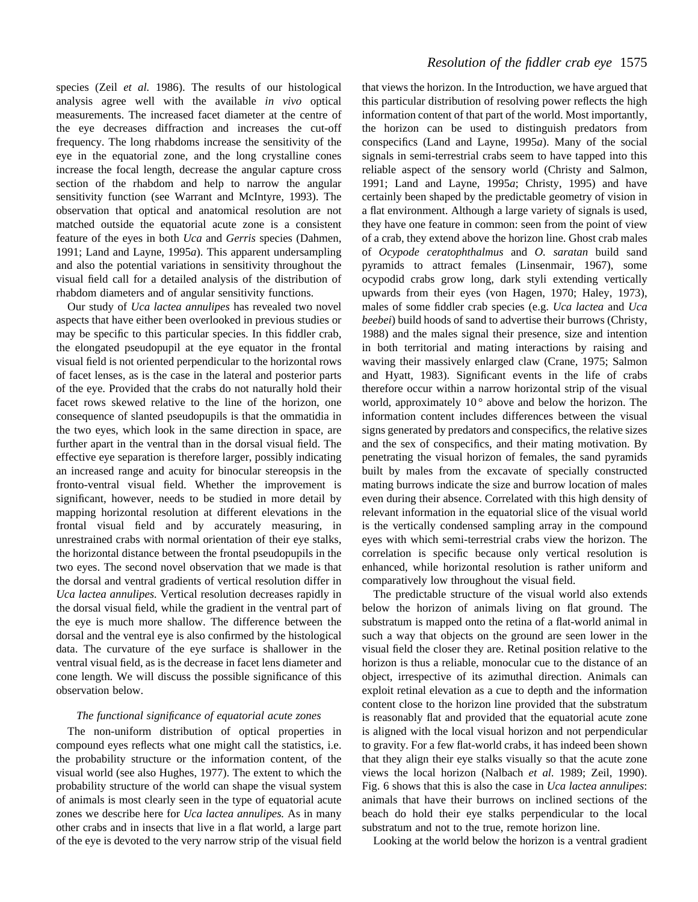species (Zeil *et al.* 1986). The results of our histological analysis agree well with the available *in vivo* optical measurements. The increased facet diameter at the centre of the eye decreases diffraction and increases the cut-off frequency. The long rhabdoms increase the sensitivity of the eye in the equatorial zone, and the long crystalline cones increase the focal length, decrease the angular capture cross section of the rhabdom and help to narrow the angular sensitivity function (see Warrant and McIntyre, 1993). The observation that optical and anatomical resolution are not matched outside the equatorial acute zone is a consistent feature of the eyes in both *Uca* and *Gerris* species (Dahmen, 1991; Land and Layne, 1995*a*). This apparent undersampling and also the potential variations in sensitivity throughout the visual field call for a detailed analysis of the distribution of rhabdom diameters and of angular sensitivity functions.

Our study of *Uca lactea annulipes* has revealed two novel aspects that have either been overlooked in previous studies or may be specific to this particular species. In this fiddler crab, the elongated pseudopupil at the eye equator in the frontal visual field is not oriented perpendicular to the horizontal rows of facet lenses, as is the case in the lateral and posterior parts of the eye. Provided that the crabs do not naturally hold their facet rows skewed relative to the line of the horizon, one consequence of slanted pseudopupils is that the ommatidia in the two eyes, which look in the same direction in space, are further apart in the ventral than in the dorsal visual field. The effective eye separation is therefore larger, possibly indicating an increased range and acuity for binocular stereopsis in the fronto-ventral visual field. Whether the improvement is significant, however, needs to be studied in more detail by mapping horizontal resolution at different elevations in the frontal visual field and by accurately measuring, in unrestrained crabs with normal orientation of their eye stalks, the horizontal distance between the frontal pseudopupils in the two eyes. The second novel observation that we made is that the dorsal and ventral gradients of vertical resolution differ in *Uca lactea annulipes.* Vertical resolution decreases rapidly in the dorsal visual field, while the gradient in the ventral part of the eye is much more shallow. The difference between the dorsal and the ventral eye is also confirmed by the histological data. The curvature of the eye surface is shallower in the ventral visual field, as is the decrease in facet lens diameter and cone length. We will discuss the possible significance of this observation below.

## *The functional significance of equatorial acute zones*

The non-uniform distribution of optical properties in compound eyes reflects what one might call the statistics, i.e. the probability structure or the information content, of the visual world (see also Hughes, 1977). The extent to which the probability structure of the world can shape the visual system of animals is most clearly seen in the type of equatorial acute zones we describe here for *Uca lactea annulipes.* As in many other crabs and in insects that live in a flat world, a large part of the eye is devoted to the very narrow strip of the visual field

## *Resolution of the fiddler crab eye* 1575

that views the horizon. In the Introduction, we have argued that this particular distribution of resolving power reflects the high information content of that part of the world. Most importantly, the horizon can be used to distinguish predators from conspecifics (Land and Layne, 1995*a*). Many of the social signals in semi-terrestrial crabs seem to have tapped into this reliable aspect of the sensory world (Christy and Salmon, 1991; Land and Layne, 1995*a*; Christy, 1995) and have certainly been shaped by the predictable geometry of vision in a flat environment. Although a large variety of signals is used, they have one feature in common: seen from the point of view of a crab, they extend above the horizon line. Ghost crab males of *Ocypode ceratophthalmus* and *O. saratan* build sand pyramids to attract females (Linsenmair, 1967), some ocypodid crabs grow long, dark styli extending vertically upwards from their eyes (von Hagen, 1970; Haley, 1973), males of some fiddler crab species (e.g. *Uca lactea* and *Uca beebei*) build hoods of sand to advertise their burrows (Christy, 1988) and the males signal their presence, size and intention in both territorial and mating interactions by raising and waving their massively enlarged claw (Crane, 1975; Salmon and Hyatt, 1983). Significant events in the life of crabs therefore occur within a narrow horizontal strip of the visual world, approximately  $10^{\circ}$  above and below the horizon. The information content includes differences between the visual signs generated by predators and conspecifics, the relative sizes and the sex of conspecifics, and their mating motivation. By penetrating the visual horizon of females, the sand pyramids built by males from the excavate of specially constructed mating burrows indicate the size and burrow location of males even during their absence. Correlated with this high density of relevant information in the equatorial slice of the visual world is the vertically condensed sampling array in the compound eyes with which semi-terrestrial crabs view the horizon. The correlation is specific because only vertical resolution is enhanced, while horizontal resolution is rather uniform and comparatively low throughout the visual field.

The predictable structure of the visual world also extends below the horizon of animals living on flat ground. The substratum is mapped onto the retina of a flat-world animal in such a way that objects on the ground are seen lower in the visual field the closer they are. Retinal position relative to the horizon is thus a reliable, monocular cue to the distance of an object, irrespective of its azimuthal direction. Animals can exploit retinal elevation as a cue to depth and the information content close to the horizon line provided that the substratum is reasonably flat and provided that the equatorial acute zone is aligned with the local visual horizon and not perpendicular to gravity. For a few flat-world crabs, it has indeed been shown that they align their eye stalks visually so that the acute zone views the local horizon (Nalbach *et al.* 1989; Zeil, 1990). Fig. 6 shows that this is also the case in *Uca lactea annulipes*: animals that have their burrows on inclined sections of the beach do hold their eye stalks perpendicular to the local substratum and not to the true, remote horizon line.

Looking at the world below the horizon is a ventral gradient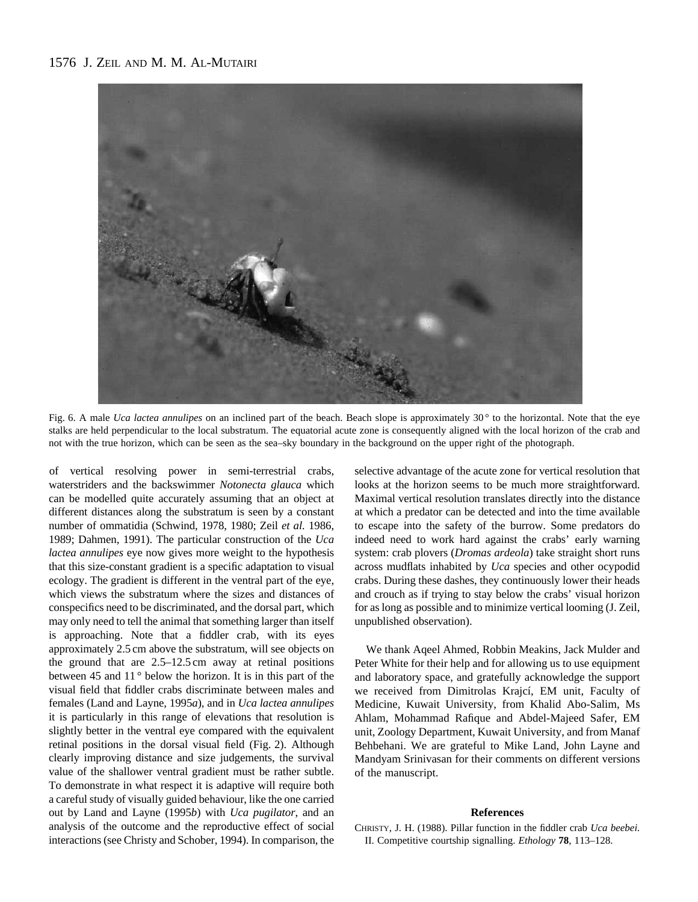# 1576 J. ZEIL AND M. M. AL-MUTAIRI



Fig. 6. A male *Uca lactea annulipes* on an inclined part of the beach. Beach slope is approximately 30° to the horizontal. Note that the eye stalks are held perpendicular to the local substratum. The equatorial acute zone is consequently aligned with the local horizon of the crab and not with the true horizon, which can be seen as the sea–sky boundary in the background on the upper right of the photograph.

of vertical resolving power in semi-terrestrial crabs, waterstriders and the backswimmer *Notonecta glauca* which can be modelled quite accurately assuming that an object at different distances along the substratum is seen by a constant number of ommatidia (Schwind, 1978, 1980; Zeil *et al.* 1986, 1989; Dahmen, 1991). The particular construction of the *Uca lactea annulipes* eye now gives more weight to the hypothesis that this size-constant gradient is a specific adaptation to visual ecology. The gradient is different in the ventral part of the eye, which views the substratum where the sizes and distances of conspecifics need to be discriminated, and the dorsal part, which may only need to tell the animal that something larger than itself is approaching. Note that a fiddler crab, with its eyes approximately 2.5 cm above the substratum, will see objects on the ground that are 2.5–12.5 cm away at retinal positions between 45 and 11 ° below the horizon. It is in this part of the visual field that fiddler crabs discriminate between males and females (Land and Layne, 1995*a*), and in *Uca lactea annulipes* it is particularly in this range of elevations that resolution is slightly better in the ventral eye compared with the equivalent retinal positions in the dorsal visual field (Fig. 2). Although clearly improving distance and size judgements, the survival value of the shallower ventral gradient must be rather subtle. To demonstrate in what respect it is adaptive will require both a careful study of visually guided behaviour, like the one carried out by Land and Layne (1995*b*) with *Uca pugilator*, and an analysis of the outcome and the reproductive effect of social interactions (see Christy and Schober, 1994). In comparison, the

selective advantage of the acute zone for vertical resolution that looks at the horizon seems to be much more straightforward. Maximal vertical resolution translates directly into the distance at which a predator can be detected and into the time available to escape into the safety of the burrow. Some predators do indeed need to work hard against the crabs' early warning system: crab plovers (*Dromas ardeola*) take straight short runs across mudflats inhabited by *Uca* species and other ocypodid crabs. During these dashes, they continuously lower their heads and crouch as if trying to stay below the crabs' visual horizon for as long as possible and to minimize vertical looming (J. Zeil, unpublished observation).

We thank Aqeel Ahmed, Robbin Meakins, Jack Mulder and Peter White for their help and for allowing us to use equipment and laboratory space, and gratefully acknowledge the support we received from Dimitrolas Krajcí, EM unit, Faculty of Medicine, Kuwait University, from Khalid Abo-Salim, Ms Ahlam, Mohammad Rafique and Abdel-Majeed Safer, EM unit, Zoology Department, Kuwait University, and from Manaf Behbehani. We are grateful to Mike Land, John Layne and Mandyam Srinivasan for their comments on different versions of the manuscript.

#### **References**

CHRISTY, J. H. (1988). Pillar function in the fiddler crab *Uca beebei.* II. Competitive courtship signalling. *Ethology* **78**, 113–128.